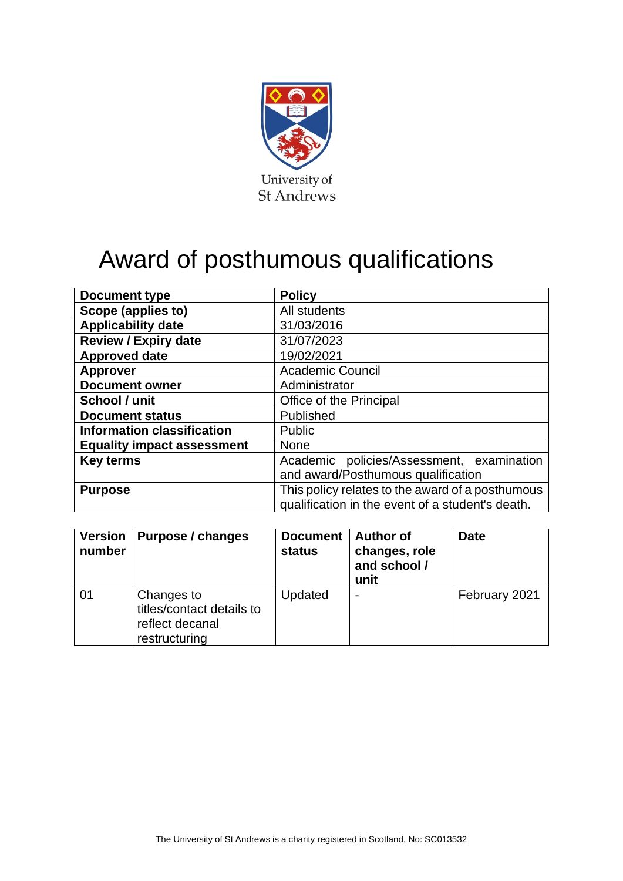

## Award of posthumous qualifications

| <b>Document type</b>              | <b>Policy</b>                                                                                        |  |  |
|-----------------------------------|------------------------------------------------------------------------------------------------------|--|--|
| Scope (applies to)                | All students                                                                                         |  |  |
| <b>Applicability date</b>         | 31/03/2016                                                                                           |  |  |
| <b>Review / Expiry date</b>       | 31/07/2023                                                                                           |  |  |
| <b>Approved date</b>              | 19/02/2021                                                                                           |  |  |
| <b>Approver</b>                   | <b>Academic Council</b>                                                                              |  |  |
| <b>Document owner</b>             | Administrator                                                                                        |  |  |
| School / unit                     | Office of the Principal                                                                              |  |  |
| <b>Document status</b>            | Published                                                                                            |  |  |
| <b>Information classification</b> | <b>Public</b>                                                                                        |  |  |
| <b>Equality impact assessment</b> | <b>None</b>                                                                                          |  |  |
| <b>Key terms</b>                  | Academic policies/Assessment, examination                                                            |  |  |
|                                   | and award/Posthumous qualification                                                                   |  |  |
| <b>Purpose</b>                    | This policy relates to the award of a posthumous<br>qualification in the event of a student's death. |  |  |

| <b>Version</b><br>number | Purpose / changes                                                           | <b>Document</b><br>status | <b>Author of</b><br>changes, role<br>and school /<br>unit | <b>Date</b>   |
|--------------------------|-----------------------------------------------------------------------------|---------------------------|-----------------------------------------------------------|---------------|
| 01                       | Changes to<br>titles/contact details to<br>reflect decanal<br>restructuring | Updated                   | $\overline{\phantom{0}}$                                  | February 2021 |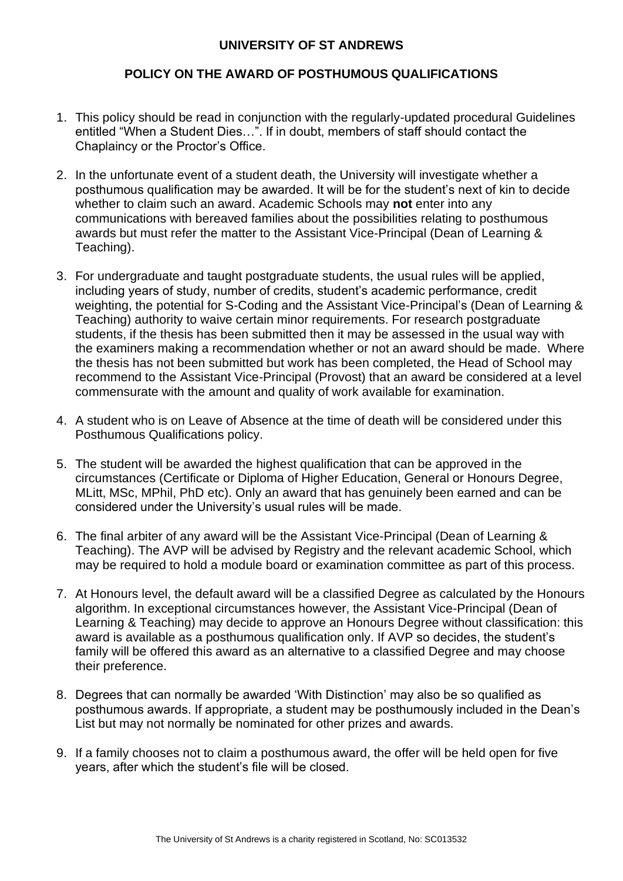## **UNIVERSITY OF ST ANDREWS**

## **POLICY ON THE AWARD OF POSTHUMOUS QUALIFICATIONS**

- 1. This policy should be read in conjunction with the regularly-updated procedural Guidelines entitled "When a Student Dies…". If in doubt, members of staff should contact the Chaplaincy or the Proctor's Office.
- 2. In the unfortunate event of a student death, the University will investigate whether a posthumous qualification may be awarded. It will be for the student's next of kin to decide whether to claim such an award. Academic Schools may **not** enter into any communications with bereaved families about the possibilities relating to posthumous awards but must refer the matter to the Assistant Vice-Principal (Dean of Learning & Teaching).
- 3. For undergraduate and taught postgraduate students, the usual rules will be applied, including years of study, number of credits, student's academic performance, credit weighting, the potential for S-Coding and the Assistant Vice-Principal's (Dean of Learning & Teaching) authority to waive certain minor requirements. For research postgraduate students, if the thesis has been submitted then it may be assessed in the usual way with the examiners making a recommendation whether or not an award should be made. Where the thesis has not been submitted but work has been completed, the Head of School may recommend to the Assistant Vice-Principal (Provost) that an award be considered at a level commensurate with the amount and quality of work available for examination.
- 4. A student who is on Leave of Absence at the time of death will be considered under this Posthumous Qualifications policy.
- 5. The student will be awarded the highest qualification that can be approved in the circumstances (Certificate or Diploma of Higher Education, General or Honours Degree, MLitt, MSc, MPhil, PhD etc). Only an award that has genuinely been earned and can be considered under the University's usual rules will be made.
- 6. The final arbiter of any award will be the Assistant Vice-Principal (Dean of Learning & Teaching). The AVP will be advised by Registry and the relevant academic School, which may be required to hold a module board or examination committee as part of this process.
- 7. At Honours level, the default award will be a classified Degree as calculated by the Honours algorithm. In exceptional circumstances however, the Assistant Vice-Principal (Dean of Learning & Teaching) may decide to approve an Honours Degree without classification: this award is available as a posthumous qualification only. If AVP so decides, the student's family will be offered this award as an alternative to a classified Degree and may choose their preference.
- 8. Degrees that can normally be awarded 'With Distinction' may also be so qualified as posthumous awards. If appropriate, a student may be posthumously included in the Dean's List but may not normally be nominated for other prizes and awards.
- 9. If a family chooses not to claim a posthumous award, the offer will be held open for five years, after which the student's file will be closed.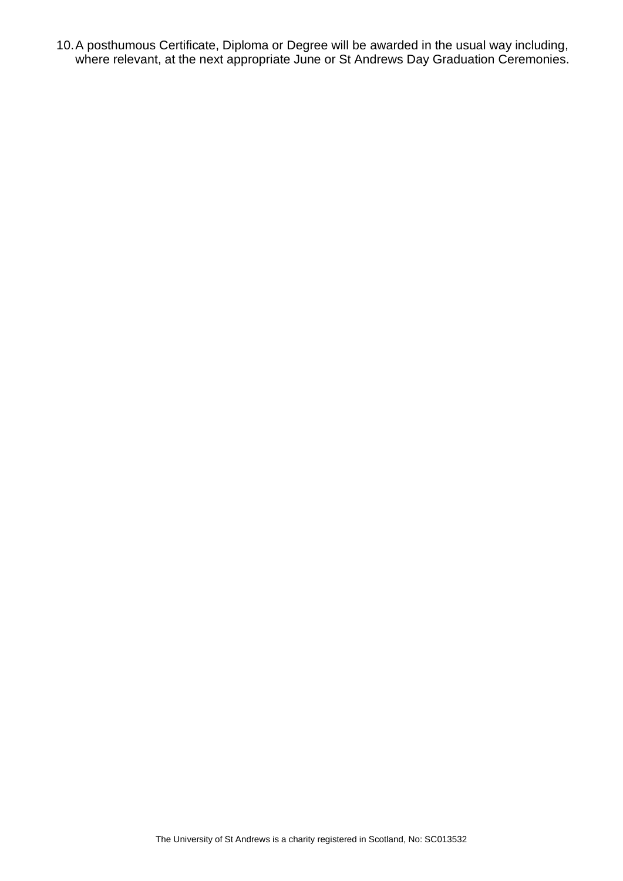10.A posthumous Certificate, Diploma or Degree will be awarded in the usual way including, where relevant, at the next appropriate June or St Andrews Day Graduation Ceremonies.